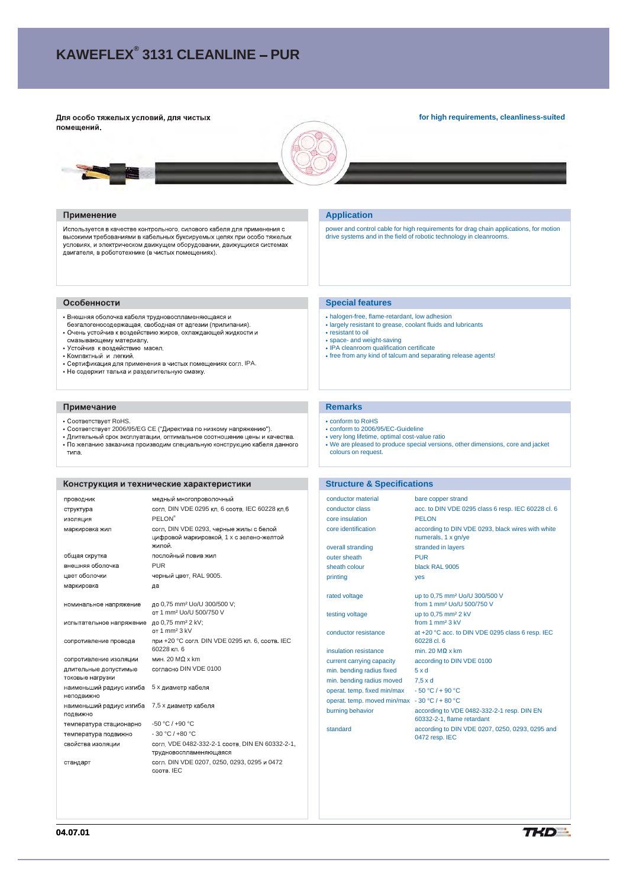# **KAWEFLEX® 3131 CLEANLINE PUR**

Для особо тяжелых условий, для чистых помещений.

#### **for high requirements, cleanliness-suited**



#### Применение

Используется в качестве контрольного, силового кабеля для применения с высокими требованиями в кабельных буксируемых цепях при особо тяжелых исповиях, и электрическом движущем оборудовании, движущихся системах<br>движателя, в ректрическом движущем оборудовании, движущихся системах<br>двигателя, в робототехнике (в чистых помещениях).

# Особенности

- Внешняя оболочка кабеля трудновоспламеняющаяся и
- спользования составляется при подделжительности и прилипания).<br>• Очень устойчив к воздействию жиров, охлаждающей жидкости и
- смазывающему материалу.
- Устойчив к воздействию масел.
- Компактный и легкий.
- Сертификация для применения в чистых помещениях согл. IPA.
- Не содержит талька и разделительную смазку.

#### Примечание

- Соответствует RoHS.
- 
- Соответствует 2006/95/EG CE ("Директива по низкому напряжению").<br>• Длительный срок эксплуатации, оптимальное соотношение цены и качества.<br>• По желанию заказчика производим специальную конструкцию кабеля данного типа.

## Конструкция и технические характеристики

| проводник                                 | медный многопроволочный                                                                        |
|-------------------------------------------|------------------------------------------------------------------------------------------------|
| структура                                 | согл. DIN VDE 0295 кл. 6 соотв. IEC 60228 кл. 6                                                |
|                                           | <b>PELON®</b>                                                                                  |
| изоляция                                  |                                                                                                |
| маркировка жил                            | согл. DIN VDE 0293, черные жилы с белой<br>цифровой маркировкой, 1 х с зелено-желтой<br>жипой. |
| общая скрутка                             | послойный повив жил                                                                            |
| внешняя оболочка                          | <b>PUR</b>                                                                                     |
| цвет оболочки                             | черный цвет, RAL 9005.                                                                         |
| маркировка                                | да                                                                                             |
|                                           |                                                                                                |
| номинальное напряжение                    | до 0,75 mm <sup>2</sup> Uo/U 300/500 V;                                                        |
|                                           | от 1 mm <sup>2</sup> Uo/U 500/750 V                                                            |
| испытательное напряжение                  | до 0.75 mm <sup>2</sup> 2 kV:                                                                  |
|                                           | OT 1 mm <sup>2</sup> 3 kV                                                                      |
| сопротивление провода                     | при +20 °С согл. DIN VDE 0295 кл. 6, соотв. IEC<br>60228 кл 6                                  |
| сопротивление изоляции                    | мин. 20 ΜΩ х km                                                                                |
| длительные допустимые<br>токовые нагрузки | согласно DIN VDE 0100                                                                          |
| наименьший радиус изгиба<br>неподвижно    | 5 х диаметр кабеля                                                                             |
| наименьший радиус изгиба<br>ПОДВИЖНО      | 7,5 х диаметр кабеля                                                                           |
| температура стационарно                   | $-50 °C / +90 °C$                                                                              |
| температура подвижно                      | $-30 °C / +80 °C$                                                                              |
| свойства изоляции                         | согл. VDE 0482-332-2-1 соотв. DIN EN 60332-2-1,<br>трудновоспламеняющаяся                      |
| стандарт                                  | согл. DIN VDE 0207, 0250, 0293, 0295 и 0472<br>COOTB IEC                                       |

#### **Application**

power and control cable for high requirements for drag chain applications, for motion drive systems and in the field of robotic technology in cleanrooms.

#### **Special features**

- halogen-free, flame-retardant, low adhesion
- largely resistant to grease, coolant fluids and lubricants resistant to oil
- 
- 
- space- and weight-saving IPA cleanroom qualification certificate free from any kind of talcum and separating release agents!

# **Remarks**

- conform to RoHS
- conform to 2006/95/EC-Guideline
- very long lifetime, optimal cost-value ratio We are pleased to produce special versions, other dimensions, core and jacket
- colours on request.

#### **Structure & Specifications**

| conductor material                            | bare copper strand                                                                 |
|-----------------------------------------------|------------------------------------------------------------------------------------|
| conductor class                               | acc. to DIN VDE 0295 class 6 resp. IEC 60228 cl. 6                                 |
| core insulation                               | <b>PELON</b>                                                                       |
| core identification                           | according to DIN VDE 0293, black wires with white<br>numerals, 1 x gn/ye           |
| overall stranding                             | stranded in layers                                                                 |
| outer sheath                                  | PUR                                                                                |
| sheath colour                                 | black RAL 9005                                                                     |
| printing                                      | yes                                                                                |
| rated voltage                                 | up to 0,75 mm <sup>2</sup> Uo/U 300/500 V<br>from 1 mm <sup>2</sup> Uo/U 500/750 V |
| testing voltage                               | up to 0.75 mm <sup>2</sup> 2 kV<br>from 1 $mm2$ 3 kV                               |
| conductor resistance                          | at +20 °C acc. to DIN VDE 0295 class 6 resp. IEC<br>60228 cl. 6                    |
| insulation resistance                         | min. 20 $M\Omega$ x km                                                             |
| current carrying capacity                     | according to DIN VDE 0100                                                          |
| min. bending radius fixed                     | 5xd                                                                                |
| min. bending radius moved                     | $7.5 \times d$                                                                     |
| operat. temp. fixed min/max                   | $-50 °C$ / + 90 °C                                                                 |
| operat. temp. moved min/max - 30 °C / + 80 °C |                                                                                    |
| burning behavior                              | according to VDE 0482-332-2-1 resp. DIN EN<br>60332-2-1, flame retardant           |
| standard                                      | according to DIN VDE 0207, 0250, 0293, 0295 and                                    |

0472 resp. IEC

**04.07.01**